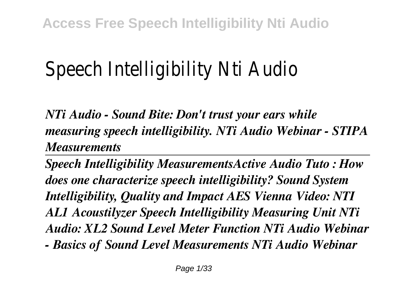# Speech Intelligibility Nti Audio

*NTi Audio - Sound Bite: Don't trust your ears while measuring speech intelligibility. NTi Audio Webinar - STIPA Measurements* 

*Speech Intelligibility MeasurementsActive Audio Tuto : How does one characterize speech intelligibility? Sound System Intelligibility, Quality and Impact AES Vienna Video: NTI AL1 Acoustilyzer Speech Intelligibility Measuring Unit NTi Audio: XL2 Sound Level Meter Function NTi Audio Webinar - Basics of Sound Level Measurements NTi Audio Webinar*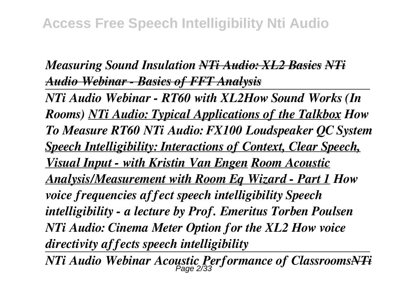### *Measuring Sound Insulation NTi Audio: XL2 Basics NTi Audio Webinar - Basics of FFT Analysis*

*NTi Audio Webinar - RT60 with XL2How Sound Works (In Rooms) NTi Audio: Typical Applications of the Talkbox How To Measure RT60 NTi Audio: FX100 Loudspeaker QC System Speech Intelligibility: Interactions of Context, Clear Speech, Visual Input - with Kristin Van Engen Room Acoustic Analysis/Measurement with Room Eq Wizard - Part 1 How voice frequencies affect speech intelligibility Speech intelligibility - a lecture by Prof. Emeritus Torben Poulsen NTi Audio: Cinema Meter Option for the XL2 How voice directivity affects speech intelligibility*

*NTi Audio Webinar Acoustic Performance of ClassroomsNTi* Page 2/33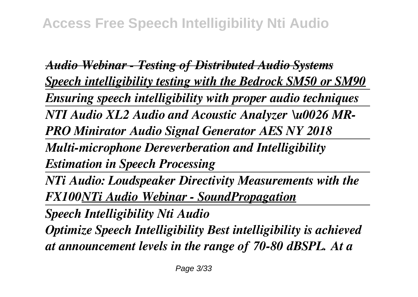*Audio Webinar - Testing of Distributed Audio Systems Speech intelligibility testing with the Bedrock SM50 or SM90 Ensuring speech intelligibility with proper audio techniques NTI Audio XL2 Audio and Acoustic Analyzer \u0026 MR-PRO Minirator Audio Signal Generator AES NY 2018 Multi-microphone Dereverberation and Intelligibility Estimation in Speech Processing NTi Audio: Loudspeaker Directivity Measurements with the FX100NTi Audio Webinar - SoundPropagation Speech Intelligibility Nti Audio Optimize Speech Intelligibility Best intelligibility is achieved*

*at announcement levels in the range of 70-80 dBSPL. At a*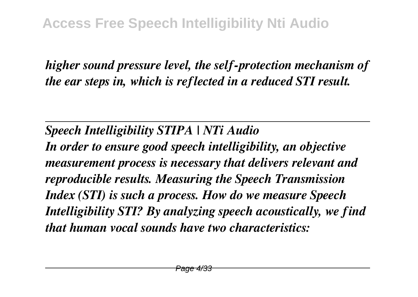*higher sound pressure level, the self-protection mechanism of the ear steps in, which is reflected in a reduced STI result.*

*Speech Intelligibility STIPA | NTi Audio*

*In order to ensure good speech intelligibility, an objective measurement process is necessary that delivers relevant and reproducible results. Measuring the Speech Transmission Index (STI) is such a process. How do we measure Speech Intelligibility STI? By analyzing speech acoustically, we find that human vocal sounds have two characteristics:*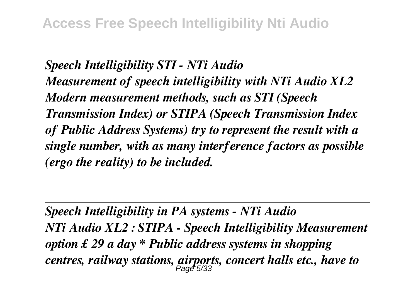*Speech Intelligibility STI - NTi Audio Measurement of speech intelligibility with NTi Audio XL2 Modern measurement methods, such as STI (Speech Transmission Index) or STIPA (Speech Transmission Index of Public Address Systems) try to represent the result with a single number, with as many interference factors as possible (ergo the reality) to be included.*

*Speech Intelligibility in PA systems - NTi Audio NTi Audio XL2 : STIPA - Speech Intelligibility Measurement option £ 29 a day \* Public address systems in shopping centres, railway stations, airports, concert halls etc., have to* Page 5/33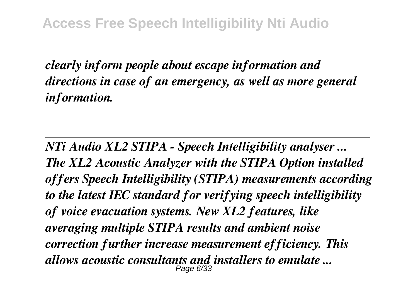*clearly inform people about escape information and directions in case of an emergency, as well as more general information.*

*NTi Audio XL2 STIPA - Speech Intelligibility analyser ... The XL2 Acoustic Analyzer with the STIPA Option installed offers Speech Intelligibility (STIPA) measurements according to the latest IEC standard for verifying speech intelligibility of voice evacuation systems. New XL2 features, like averaging multiple STIPA results and ambient noise correction further increase measurement efficiency. This allows acoustic consultants and installers to emulate ...* Page 6/33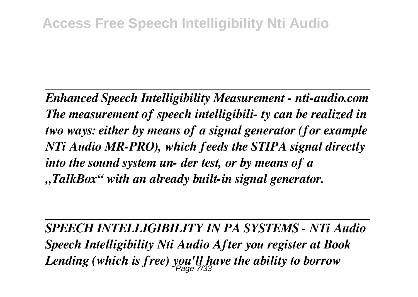*Enhanced Speech Intelligibility Measurement - nti-audio.com The measurement of speech intelligibili- ty can be realized in two ways: either by means of a signal generator (for example NTi Audio MR-PRO), which feeds the STIPA signal directly into the sound system un- der test, or by means of a "TalkBox" with an already built-in signal generator.*

*SPEECH INTELLIGIBILITY IN PA SYSTEMS - NTi Audio Speech Intelligibility Nti Audio After you register at Book Lending (which is free) you'll have the ability to borrow* Page 7/33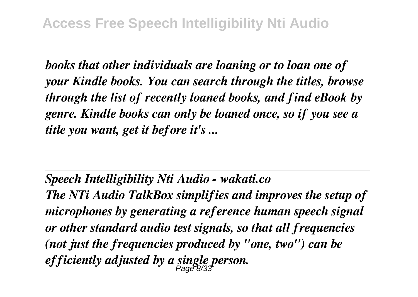*books that other individuals are loaning or to loan one of your Kindle books. You can search through the titles, browse through the list of recently loaned books, and find eBook by genre. Kindle books can only be loaned once, so if you see a title you want, get it before it's ...*

*Speech Intelligibility Nti Audio - wakati.co*

*The NTi Audio TalkBox simplifies and improves the setup of microphones by generating a reference human speech signal or other standard audio test signals, so that all frequencies (not just the frequencies produced by "one, two") can be efficiently adjusted by a single person.* Page 8/33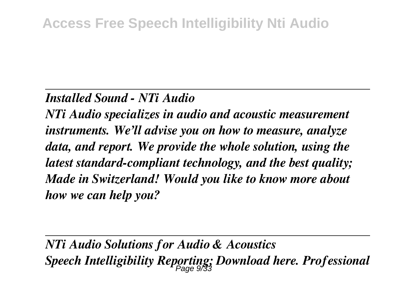#### *Installed Sound - NTi Audio*

*NTi Audio specializes in audio and acoustic measurement instruments. We'll advise you on how to measure, analyze data, and report. We provide the whole solution, using the latest standard-compliant technology, and the best quality; Made in Switzerland! Would you like to know more about how we can help you?*

*NTi Audio Solutions for Audio & Acoustics Speech Intelligibility Reporting; Download here. Professional* Page 9/33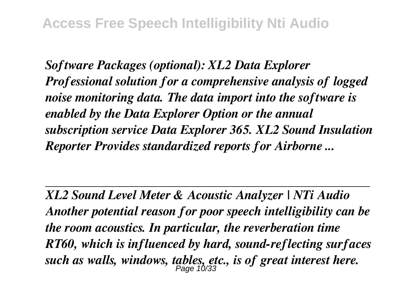*Software Packages (optional): XL2 Data Explorer Professional solution for a comprehensive analysis of logged noise monitoring data. The data import into the software is enabled by the Data Explorer Option or the annual subscription service Data Explorer 365. XL2 Sound Insulation Reporter Provides standardized reports for Airborne ...*

*XL2 Sound Level Meter & Acoustic Analyzer | NTi Audio Another potential reason for poor speech intelligibility can be the room acoustics. In particular, the reverberation time RT60, which is influenced by hard, sound-reflecting surfaces such as walls, windows, tables, etc., is of great interest here.* Page 10/33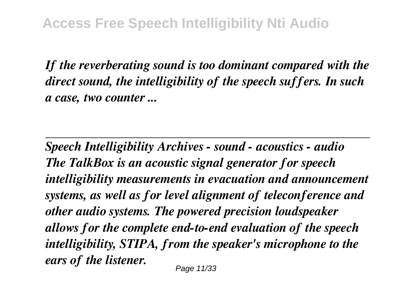*If the reverberating sound is too dominant compared with the direct sound, the intelligibility of the speech suffers. In such a case, two counter ...*

*Speech Intelligibility Archives - sound - acoustics - audio The TalkBox is an acoustic signal generator for speech intelligibility measurements in evacuation and announcement systems, as well as for level alignment of teleconference and other audio systems. The powered precision loudspeaker allows for the complete end-to-end evaluation of the speech intelligibility, STIPA, from the speaker's microphone to the ears of the listener.*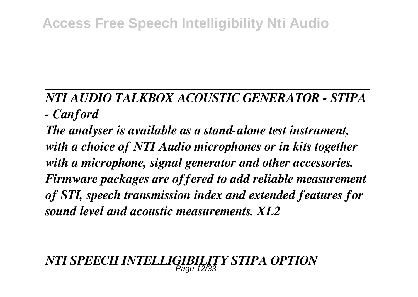# **Access Free Speech Intelligibility Nti Audio**

## *NTI AUDIO TALKBOX ACOUSTIC GENERATOR - STIPA - Canford*

*The analyser is available as a stand-alone test instrument, with a choice of NTI Audio microphones or in kits together with a microphone, signal generator and other accessories. Firmware packages are offered to add reliable measurement of STI, speech transmission index and extended features for sound level and acoustic measurements. XL2*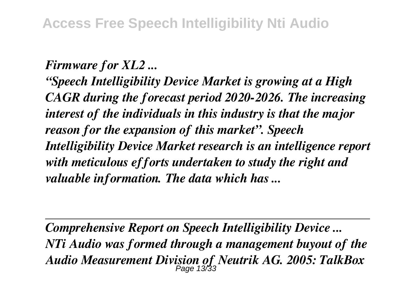#### *Firmware for XL2 ...*

*"Speech Intelligibility Device Market is growing at a High CAGR during the forecast period 2020-2026. The increasing interest of the individuals in this industry is that the major reason for the expansion of this market". Speech Intelligibility Device Market research is an intelligence report with meticulous efforts undertaken to study the right and valuable information. The data which has ...*

*Comprehensive Report on Speech Intelligibility Device ... NTi Audio was formed through a management buyout of the Audio Measurement Division of Neutrik AG. 2005: TalkBox* Page 13/33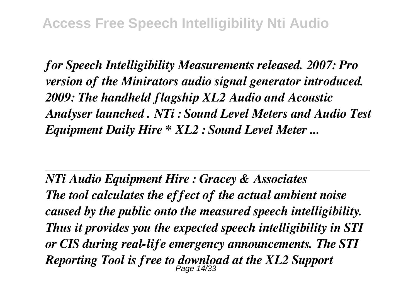*for Speech Intelligibility Measurements released. 2007: Pro version of the Minirators audio signal generator introduced. 2009: The handheld flagship XL2 Audio and Acoustic Analyser launched . NTi : Sound Level Meters and Audio Test Equipment Daily Hire \* XL2 : Sound Level Meter ...*

*NTi Audio Equipment Hire : Gracey & Associates The tool calculates the effect of the actual ambient noise caused by the public onto the measured speech intelligibility. Thus it provides you the expected speech intelligibility in STI or CIS during real-life emergency announcements. The STI Reporting Tool is free to download at the XL2 Support* Page 14/33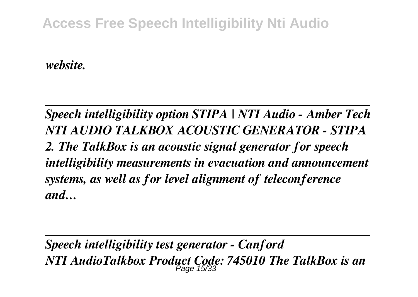## **Access Free Speech Intelligibility Nti Audio**

*website.*

*Speech intelligibility option STIPA | NTI Audio - Amber Tech NTI AUDIO TALKBOX ACOUSTIC GENERATOR - STIPA 2. The TalkBox is an acoustic signal generator for speech intelligibility measurements in evacuation and announcement systems, as well as for level alignment of teleconference and…*

*Speech intelligibility test generator - Canford NTI AudioTalkbox Product Code: 745010 The TalkBox is an* Page 15/33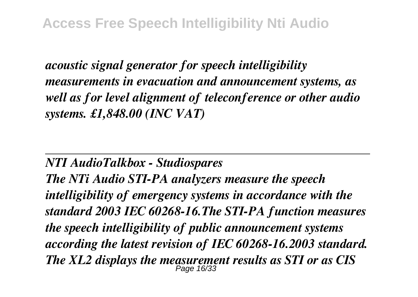*acoustic signal generator for speech intelligibility measurements in evacuation and announcement systems, as well as for level alignment of teleconference or other audio systems. £1,848.00 (INC VAT)*

#### *NTI AudioTalkbox - Studiospares*

*The NTi Audio STI-PA analyzers measure the speech intelligibility of emergency systems in accordance with the standard 2003 IEC 60268-16.The STI-PA function measures the speech intelligibility of public announcement systems according the latest revision of IEC 60268-16.2003 standard. The XL2 displays the measurement results as STI or as CIS* Page 16/33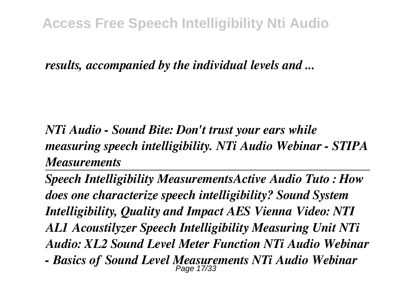*results, accompanied by the individual levels and ...*

*NTi Audio - Sound Bite: Don't trust your ears while measuring speech intelligibility. NTi Audio Webinar - STIPA Measurements* 

*Speech Intelligibility MeasurementsActive Audio Tuto : How does one characterize speech intelligibility? Sound System Intelligibility, Quality and Impact AES Vienna Video: NTI AL1 Acoustilyzer Speech Intelligibility Measuring Unit NTi Audio: XL2 Sound Level Meter Function NTi Audio Webinar - Basics of Sound Level Measurements NTi Audio Webinar* Page 17/33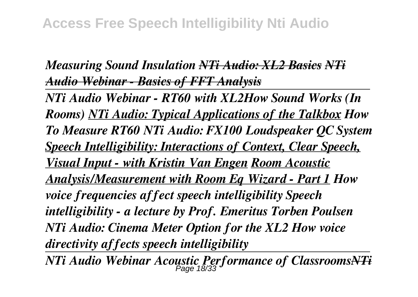### *Measuring Sound Insulation NTi Audio: XL2 Basics NTi Audio Webinar - Basics of FFT Analysis*

*NTi Audio Webinar - RT60 with XL2How Sound Works (In Rooms) NTi Audio: Typical Applications of the Talkbox How To Measure RT60 NTi Audio: FX100 Loudspeaker QC System Speech Intelligibility: Interactions of Context, Clear Speech, Visual Input - with Kristin Van Engen Room Acoustic Analysis/Measurement with Room Eq Wizard - Part 1 How voice frequencies affect speech intelligibility Speech intelligibility - a lecture by Prof. Emeritus Torben Poulsen NTi Audio: Cinema Meter Option for the XL2 How voice directivity affects speech intelligibility*

*NTi Audio Webinar Acoustic Performance of ClassroomsNTi* Page 18/33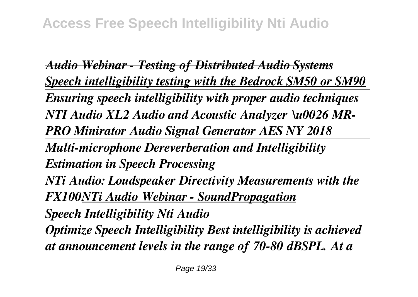*Audio Webinar - Testing of Distributed Audio Systems Speech intelligibility testing with the Bedrock SM50 or SM90 Ensuring speech intelligibility with proper audio techniques NTI Audio XL2 Audio and Acoustic Analyzer \u0026 MR-PRO Minirator Audio Signal Generator AES NY 2018 Multi-microphone Dereverberation and Intelligibility Estimation in Speech Processing NTi Audio: Loudspeaker Directivity Measurements with the FX100NTi Audio Webinar - SoundPropagation Speech Intelligibility Nti Audio Optimize Speech Intelligibility Best intelligibility is achieved*

*at announcement levels in the range of 70-80 dBSPL. At a*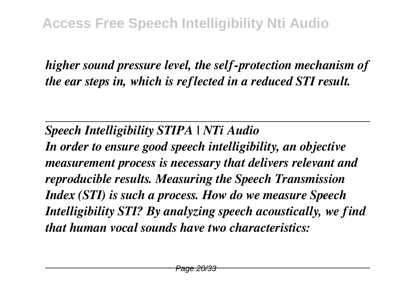*higher sound pressure level, the self-protection mechanism of the ear steps in, which is reflected in a reduced STI result.*

*Speech Intelligibility STIPA | NTi Audio*

*In order to ensure good speech intelligibility, an objective measurement process is necessary that delivers relevant and reproducible results. Measuring the Speech Transmission Index (STI) is such a process. How do we measure Speech Intelligibility STI? By analyzing speech acoustically, we find that human vocal sounds have two characteristics:*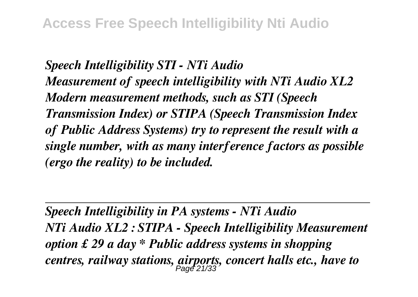*Speech Intelligibility STI - NTi Audio Measurement of speech intelligibility with NTi Audio XL2 Modern measurement methods, such as STI (Speech Transmission Index) or STIPA (Speech Transmission Index of Public Address Systems) try to represent the result with a single number, with as many interference factors as possible (ergo the reality) to be included.*

*Speech Intelligibility in PA systems - NTi Audio NTi Audio XL2 : STIPA - Speech Intelligibility Measurement option £ 29 a day \* Public address systems in shopping centres, railway stations, airports, concert halls etc., have to* Page 21/33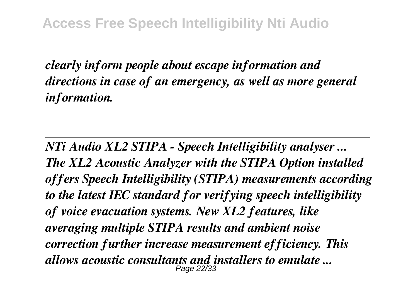*clearly inform people about escape information and directions in case of an emergency, as well as more general information.*

*NTi Audio XL2 STIPA - Speech Intelligibility analyser ... The XL2 Acoustic Analyzer with the STIPA Option installed offers Speech Intelligibility (STIPA) measurements according to the latest IEC standard for verifying speech intelligibility of voice evacuation systems. New XL2 features, like averaging multiple STIPA results and ambient noise correction further increase measurement efficiency. This allows acoustic consultants and installers to emulate ...* Page 22/33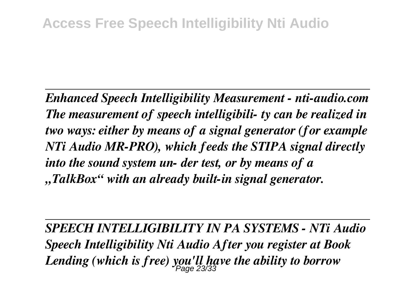*Enhanced Speech Intelligibility Measurement - nti-audio.com The measurement of speech intelligibili- ty can be realized in two ways: either by means of a signal generator (for example NTi Audio MR-PRO), which feeds the STIPA signal directly into the sound system un- der test, or by means of a "TalkBox" with an already built-in signal generator.*

*SPEECH INTELLIGIBILITY IN PA SYSTEMS - NTi Audio Speech Intelligibility Nti Audio After you register at Book Lending (which is free) you'll have the ability to borrow* Page 23/33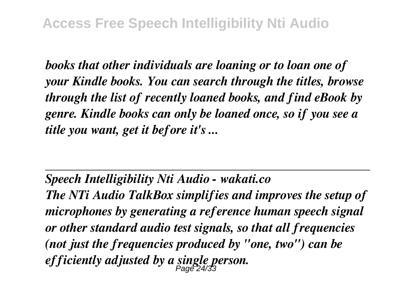*books that other individuals are loaning or to loan one of your Kindle books. You can search through the titles, browse through the list of recently loaned books, and find eBook by genre. Kindle books can only be loaned once, so if you see a title you want, get it before it's ...*

*Speech Intelligibility Nti Audio - wakati.co*

*The NTi Audio TalkBox simplifies and improves the setup of microphones by generating a reference human speech signal or other standard audio test signals, so that all frequencies (not just the frequencies produced by "one, two") can be efficiently adjusted by a single person.* Page 24/33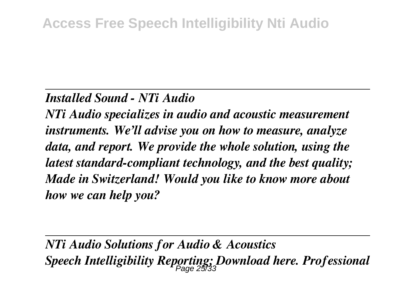#### *Installed Sound - NTi Audio*

*NTi Audio specializes in audio and acoustic measurement instruments. We'll advise you on how to measure, analyze data, and report. We provide the whole solution, using the latest standard-compliant technology, and the best quality; Made in Switzerland! Would you like to know more about how we can help you?*

*NTi Audio Solutions for Audio & Acoustics Speech Intelligibility Reporting; Download here. Professional* Page 25/33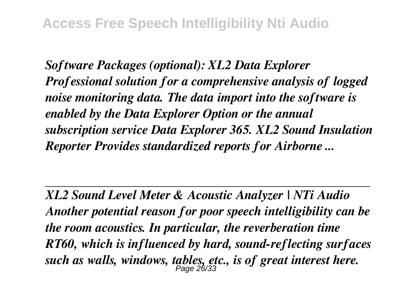*Software Packages (optional): XL2 Data Explorer Professional solution for a comprehensive analysis of logged noise monitoring data. The data import into the software is enabled by the Data Explorer Option or the annual subscription service Data Explorer 365. XL2 Sound Insulation Reporter Provides standardized reports for Airborne ...*

*XL2 Sound Level Meter & Acoustic Analyzer | NTi Audio Another potential reason for poor speech intelligibility can be the room acoustics. In particular, the reverberation time RT60, which is influenced by hard, sound-reflecting surfaces such as walls, windows, tables, etc., is of great interest here.* Page 26/33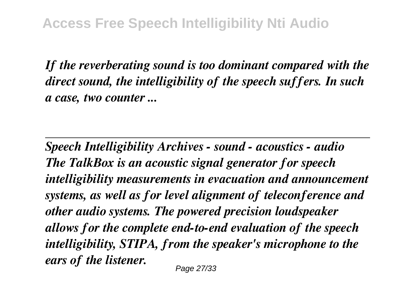*If the reverberating sound is too dominant compared with the direct sound, the intelligibility of the speech suffers. In such a case, two counter ...*

*Speech Intelligibility Archives - sound - acoustics - audio The TalkBox is an acoustic signal generator for speech intelligibility measurements in evacuation and announcement systems, as well as for level alignment of teleconference and other audio systems. The powered precision loudspeaker allows for the complete end-to-end evaluation of the speech intelligibility, STIPA, from the speaker's microphone to the ears of the listener.*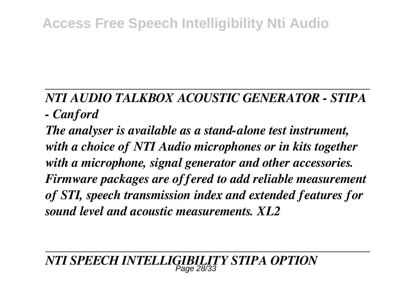# **Access Free Speech Intelligibility Nti Audio**

## *NTI AUDIO TALKBOX ACOUSTIC GENERATOR - STIPA - Canford*

*The analyser is available as a stand-alone test instrument, with a choice of NTI Audio microphones or in kits together with a microphone, signal generator and other accessories. Firmware packages are offered to add reliable measurement of STI, speech transmission index and extended features for sound level and acoustic measurements. XL2*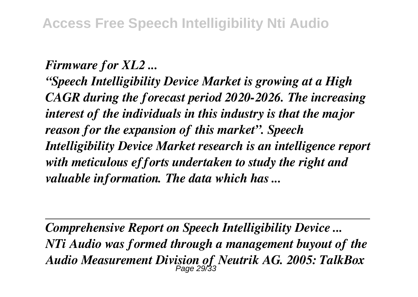#### *Firmware for XL2 ...*

*"Speech Intelligibility Device Market is growing at a High CAGR during the forecast period 2020-2026. The increasing interest of the individuals in this industry is that the major reason for the expansion of this market". Speech Intelligibility Device Market research is an intelligence report with meticulous efforts undertaken to study the right and valuable information. The data which has ...*

*Comprehensive Report on Speech Intelligibility Device ... NTi Audio was formed through a management buyout of the Audio Measurement Division of Neutrik AG. 2005: TalkBox* Page 29/33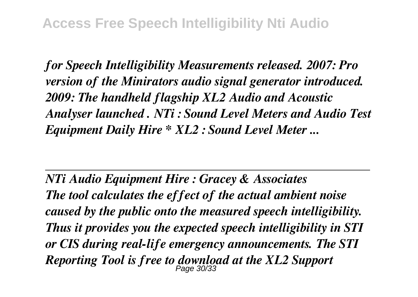*for Speech Intelligibility Measurements released. 2007: Pro version of the Minirators audio signal generator introduced. 2009: The handheld flagship XL2 Audio and Acoustic Analyser launched . NTi : Sound Level Meters and Audio Test Equipment Daily Hire \* XL2 : Sound Level Meter ...*

*NTi Audio Equipment Hire : Gracey & Associates The tool calculates the effect of the actual ambient noise caused by the public onto the measured speech intelligibility. Thus it provides you the expected speech intelligibility in STI or CIS during real-life emergency announcements. The STI Reporting Tool is free to download at the XL2 Support* Page 30/33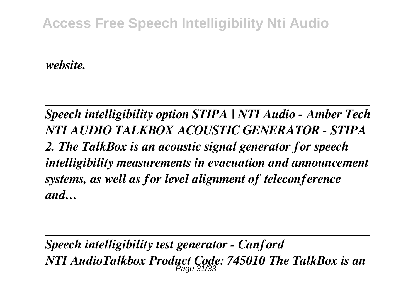## **Access Free Speech Intelligibility Nti Audio**

*website.*

*Speech intelligibility option STIPA | NTI Audio - Amber Tech NTI AUDIO TALKBOX ACOUSTIC GENERATOR - STIPA 2. The TalkBox is an acoustic signal generator for speech intelligibility measurements in evacuation and announcement systems, as well as for level alignment of teleconference and…*

*Speech intelligibility test generator - Canford NTI AudioTalkbox Product Code: 745010 The TalkBox is an* Page 31/33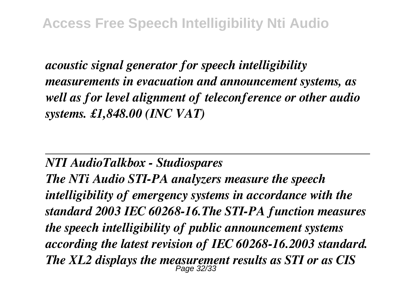*acoustic signal generator for speech intelligibility measurements in evacuation and announcement systems, as well as for level alignment of teleconference or other audio systems. £1,848.00 (INC VAT)*

#### *NTI AudioTalkbox - Studiospares*

*The NTi Audio STI-PA analyzers measure the speech intelligibility of emergency systems in accordance with the standard 2003 IEC 60268-16.The STI-PA function measures the speech intelligibility of public announcement systems according the latest revision of IEC 60268-16.2003 standard. The XL2 displays the measurement results as STI or as CIS* Page 32/33